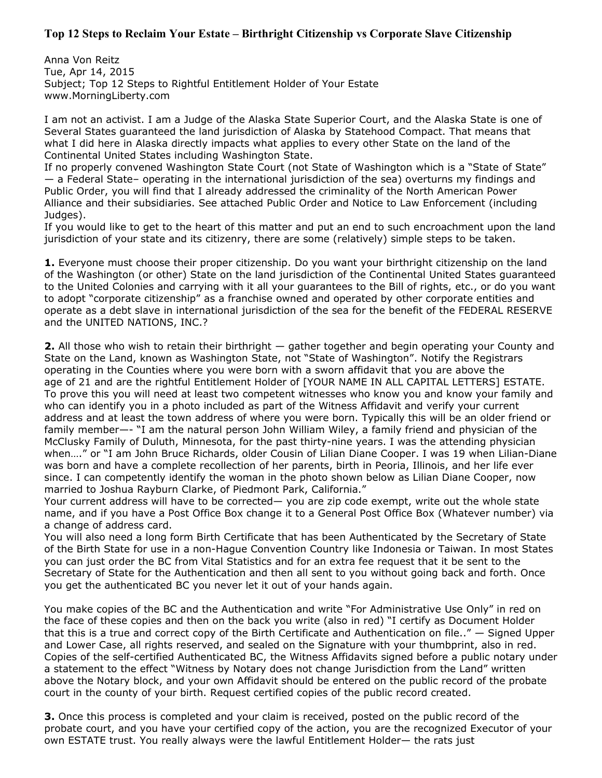## **Top 12 Steps to Reclaim Your Estate – Birthright Citizenship vs Corporate Slave Citizenship**

Anna Von Reitz Tue, Apr 14, 2015 Subject; Top 12 Steps to Rightful Entitlement Holder of Your Estate www.MorningLiberty.com

I am not an activist. I am a Judge of the Alaska State Superior Court, and the Alaska State is one of Several States guaranteed the land jurisdiction of Alaska by Statehood Compact. That means that what I did here in Alaska directly impacts what applies to every other State on the land of the Continental United States including Washington State.

If no properly convened Washington State Court (not State of Washington which is a "State of State" — a Federal State– operating in the international jurisdiction of the sea) overturns my findings and Public Order, you will find that I already addressed the criminality of the North American Power Alliance and their subsidiaries. See attached Public Order and Notice to Law Enforcement (including Judges).

If you would like to get to the heart of this matter and put an end to such encroachment upon the land jurisdiction of your state and its citizenry, there are some (relatively) simple steps to be taken.

**1.** Everyone must choose their proper citizenship. Do you want your birthright citizenship on the land of the Washington (or other) State on the land jurisdiction of the Continental United States guaranteed to the United Colonies and carrying with it all your guarantees to the Bill of rights, etc., or do you want to adopt "corporate citizenship" as a franchise owned and operated by other corporate entities and operate as a debt slave in international jurisdiction of the sea for the benefit of the FEDERAL RESERVE and the UNITED NATIONS, INC.?

**2.** All those who wish to retain their birthright — gather together and begin operating your County and State on the Land, known as Washington State, not "State of Washington". Notify the Registrars operating in the Counties where you were born with a sworn affidavit that you are above the age of 21 and are the rightful Entitlement Holder of [YOUR NAME IN ALL CAPITAL LETTERS] ESTATE. To prove this you will need at least two competent witnesses who know you and know your family and who can identify you in a photo included as part of the Witness Affidavit and verify your current address and at least the town address of where you were born. Typically this will be an older friend or family member—- "I am the natural person John William Wiley, a family friend and physician of the McClusky Family of Duluth, Minnesota, for the past thirty-nine years. I was the attending physician when…." or "I am John Bruce Richards, older Cousin of Lilian Diane Cooper. I was 19 when Lilian-Diane was born and have a complete recollection of her parents, birth in Peoria, Illinois, and her life ever since. I can competently identify the woman in the photo shown below as Lilian Diane Cooper, now married to Joshua Rayburn Clarke, of Piedmont Park, California."

Your current address will have to be corrected— you are zip code exempt, write out the whole state name, and if you have a Post Office Box change it to a General Post Office Box (Whatever number) via a change of address card.

You will also need a long form Birth Certificate that has been Authenticated by the Secretary of State of the Birth State for use in a non-Hague Convention Country like Indonesia or Taiwan. In most States you can just order the BC from Vital Statistics and for an extra fee request that it be sent to the Secretary of State for the Authentication and then all sent to you without going back and forth. Once you get the authenticated BC you never let it out of your hands again.

You make copies of the BC and the Authentication and write "For Administrative Use Only" in red on the face of these copies and then on the back you write (also in red) "I certify as Document Holder that this is a true and correct copy of the Birth Certificate and Authentication on file.." — Signed Upper and Lower Case, all rights reserved, and sealed on the Signature with your thumbprint, also in red. Copies of the self-certified Authenticated BC, the Witness Affidavits signed before a public notary under a statement to the effect "Witness by Notary does not change Jurisdiction from the Land" written above the Notary block, and your own Affidavit should be entered on the public record of the probate court in the county of your birth. Request certified copies of the public record created.

**3.** Once this process is completed and your claim is received, posted on the public record of the probate court, and you have your certified copy of the action, you are the recognized Executor of your own ESTATE trust. You really always were the lawful Entitlement Holder— the rats just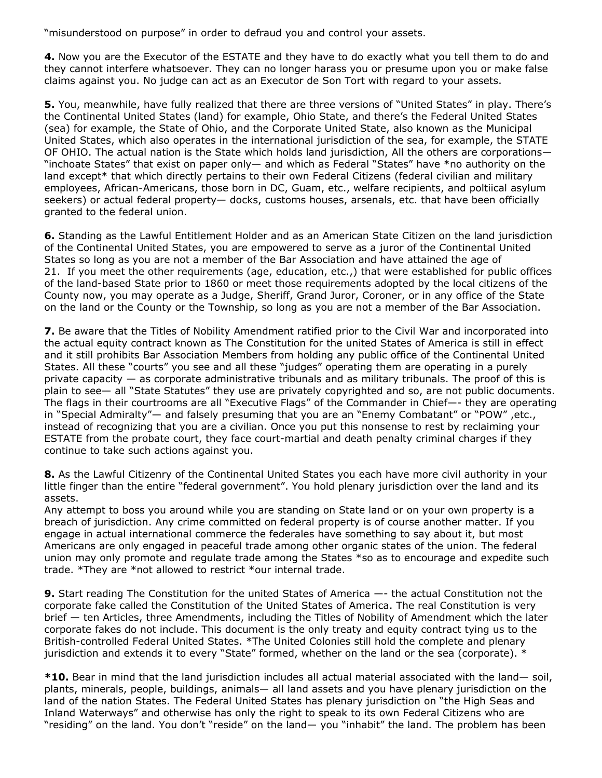"misunderstood on purpose" in order to defraud you and control your assets.

**4.** Now you are the Executor of the ESTATE and they have to do exactly what you tell them to do and they cannot interfere whatsoever. They can no longer harass you or presume upon you or make false claims against you. No judge can act as an Executor de Son Tort with regard to your assets.

**5.** You, meanwhile, have fully realized that there are three versions of "United States" in play. There's the Continental United States (land) for example, Ohio State, and there's the Federal United States (sea) for example, the State of Ohio, and the Corporate United State, also known as the Municipal United States, which also operates in the international jurisdiction of the sea, for example, the STATE OF OHIO. The actual nation is the State which holds land jurisdiction, All the others are corporations— "inchoate States" that exist on paper only— and which as Federal "States" have \*no authority on the land except<sup>\*</sup> that which directly pertains to their own Federal Citizens (federal civilian and military employees, African-Americans, those born in DC, Guam, etc., welfare recipients, and poltiical asylum seekers) or actual federal property— docks, customs houses, arsenals, etc. that have been officially granted to the federal union.

**6.** Standing as the Lawful Entitlement Holder and as an American State Citizen on the land jurisdiction of the Continental United States, you are empowered to serve as a juror of the Continental United States so long as you are not a member of the Bar Association and have attained the age of 21. If you meet the other requirements (age, education, etc.,) that were established for public offices of the land-based State prior to 1860 or meet those requirements adopted by the local citizens of the County now, you may operate as a Judge, Sheriff, Grand Juror, Coroner, or in any office of the State on the land or the County or the Township, so long as you are not a member of the Bar Association.

**7.** Be aware that the Titles of Nobility Amendment ratified prior to the Civil War and incorporated into the actual equity contract known as The Constitution for the united States of America is still in effect and it still prohibits Bar Association Members from holding any public office of the Continental United States. All these "courts" you see and all these "judges" operating them are operating in a purely private capacity — as corporate administrative tribunals and as military tribunals. The proof of this is plain to see— all "State Statutes" they use are privately copyrighted and so, are not public documents. The flags in their courtrooms are all "Executive Flags" of the Commander in Chief—- they are operating in "Special Admiralty"— and falsely presuming that you are an "Enemy Combatant" or "POW" ,etc., instead of recognizing that you are a civilian. Once you put this nonsense to rest by reclaiming your ESTATE from the probate court, they face court-martial and death penalty criminal charges if they continue to take such actions against you.

**8.** As the Lawful Citizenry of the Continental United States you each have more civil authority in your little finger than the entire "federal government". You hold plenary jurisdiction over the land and its assets.

Any attempt to boss you around while you are standing on State land or on your own property is a breach of jurisdiction. Any crime committed on federal property is of course another matter. If you engage in actual international commerce the federales have something to say about it, but most Americans are only engaged in peaceful trade among other organic states of the union. The federal union may only promote and regulate trade among the States \*so as to encourage and expedite such trade. \*They are \*not allowed to restrict \*our internal trade.

**9.** Start reading The Constitution for the united States of America —- the actual Constitution not the corporate fake called the Constitution of the United States of America. The real Constitution is very brief — ten Articles, three Amendments, including the Titles of Nobility of Amendment which the later corporate fakes do not include. This document is the only treaty and equity contract tying us to the British-controlled Federal United States. \*The United Colonies still hold the complete and plenary jurisdiction and extends it to every "State" formed, whether on the land or the sea (corporate).  $*$ 

**\*10.** Bear in mind that the land jurisdiction includes all actual material associated with the land— soil, plants, minerals, people, buildings, animals— all land assets and you have plenary jurisdiction on the land of the nation States. The Federal United States has plenary jurisdiction on "the High Seas and Inland Waterways" and otherwise has only the right to speak to its own Federal Citizens who are "residing" on the land. You don't "reside" on the land— you "inhabit" the land. The problem has been